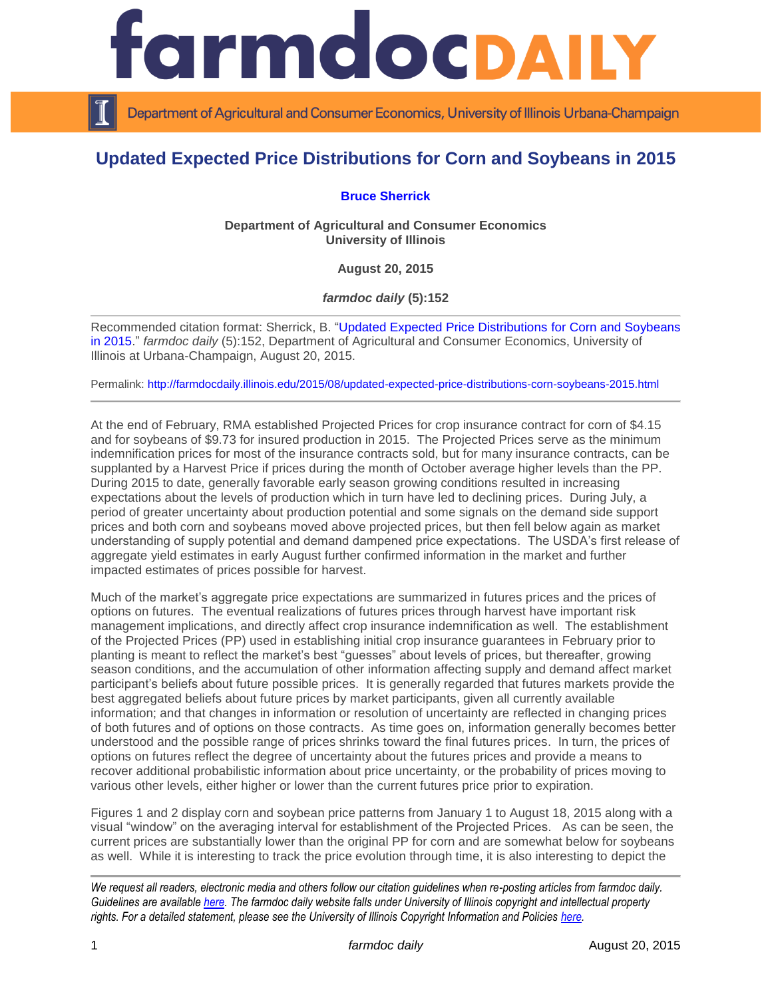

Department of Agricultural and Consumer Economics, University of Illinois Urbana-Champaign

## **Updated Expected Price Distributions for Corn and Soybeans in 2015**

## **[Bruce Sherrick](http://farmdoc.illinois.edu/sherrick/)**

**Department of Agricultural and Consumer Economics University of Illinois**

**August 20, 2015**

*farmdoc daily* **(5):152**

Recommended citation format: Sherrick, B. ["Updated Expected Price Distributions for Corn and Soybeans](http://farmdocdaily.illinois.edu/2015/08/updated-expected-price-distributions-corn-soybeans-2015.html)  [in 2015.](http://farmdocdaily.illinois.edu/2015/08/updated-expected-price-distributions-corn-soybeans-2015.html)" *farmdoc daily* (5):152, Department of Agricultural and Consumer Economics, University of Illinois at Urbana-Champaign, August 20, 2015.

Permalink:<http://farmdocdaily.illinois.edu/2015/08/updated-expected-price-distributions-corn-soybeans-2015.html>

At the end of February, RMA established Projected Prices for crop insurance contract for corn of \$4.15 and for soybeans of \$9.73 for insured production in 2015. The Projected Prices serve as the minimum indemnification prices for most of the insurance contracts sold, but for many insurance contracts, can be supplanted by a Harvest Price if prices during the month of October average higher levels than the PP. During 2015 to date, generally favorable early season growing conditions resulted in increasing expectations about the levels of production which in turn have led to declining prices. During July, a period of greater uncertainty about production potential and some signals on the demand side support prices and both corn and soybeans moved above projected prices, but then fell below again as market understanding of supply potential and demand dampened price expectations. The USDA's first release of aggregate yield estimates in early August further confirmed information in the market and further impacted estimates of prices possible for harvest.

Much of the market's aggregate price expectations are summarized in futures prices and the prices of options on futures. The eventual realizations of futures prices through harvest have important risk management implications, and directly affect crop insurance indemnification as well. The establishment of the Projected Prices (PP) used in establishing initial crop insurance guarantees in February prior to planting is meant to reflect the market's best "guesses" about levels of prices, but thereafter, growing season conditions, and the accumulation of other information affecting supply and demand affect market participant's beliefs about future possible prices. It is generally regarded that futures markets provide the best aggregated beliefs about future prices by market participants, given all currently available information; and that changes in information or resolution of uncertainty are reflected in changing prices of both futures and of options on those contracts. As time goes on, information generally becomes better understood and the possible range of prices shrinks toward the final futures prices. In turn, the prices of options on futures reflect the degree of uncertainty about the futures prices and provide a means to recover additional probabilistic information about price uncertainty, or the probability of prices moving to various other levels, either higher or lower than the current futures price prior to expiration.

Figures 1 and 2 display corn and soybean price patterns from January 1 to August 18, 2015 along with a visual "window" on the averaging interval for establishment of the Projected Prices. As can be seen, the current prices are substantially lower than the original PP for corn and are somewhat below for soybeans as well. While it is interesting to track the price evolution through time, it is also interesting to depict the

*We request all readers, electronic media and others follow our citation guidelines when re-posting articles from farmdoc daily. Guidelines are available [here.](http://farmdocdaily.illinois.edu/citationguide.html) The farmdoc daily website falls under University of Illinois copyright and intellectual property rights. For a detailed statement, please see the University of Illinois Copyright Information and Policies [here.](http://www.cio.illinois.edu/policies/copyright/)*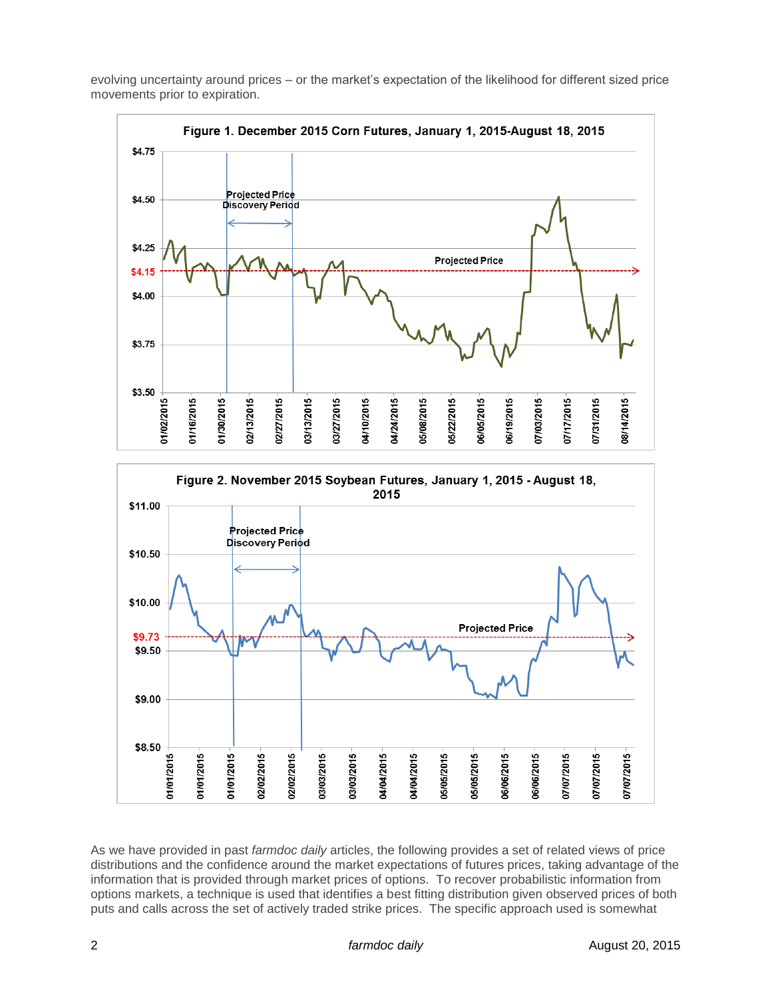evolving uncertainty around prices – or the market's expectation of the likelihood for different sized price movements prior to expiration.





As we have provided in past *farmdoc daily* articles, the following provides a set of related views of price distributions and the confidence around the market expectations of futures prices, taking advantage of the information that is provided through market prices of options. To recover probabilistic information from options markets, a technique is used that identifies a best fitting distribution given observed prices of both puts and calls across the set of actively traded strike prices. The specific approach used is somewhat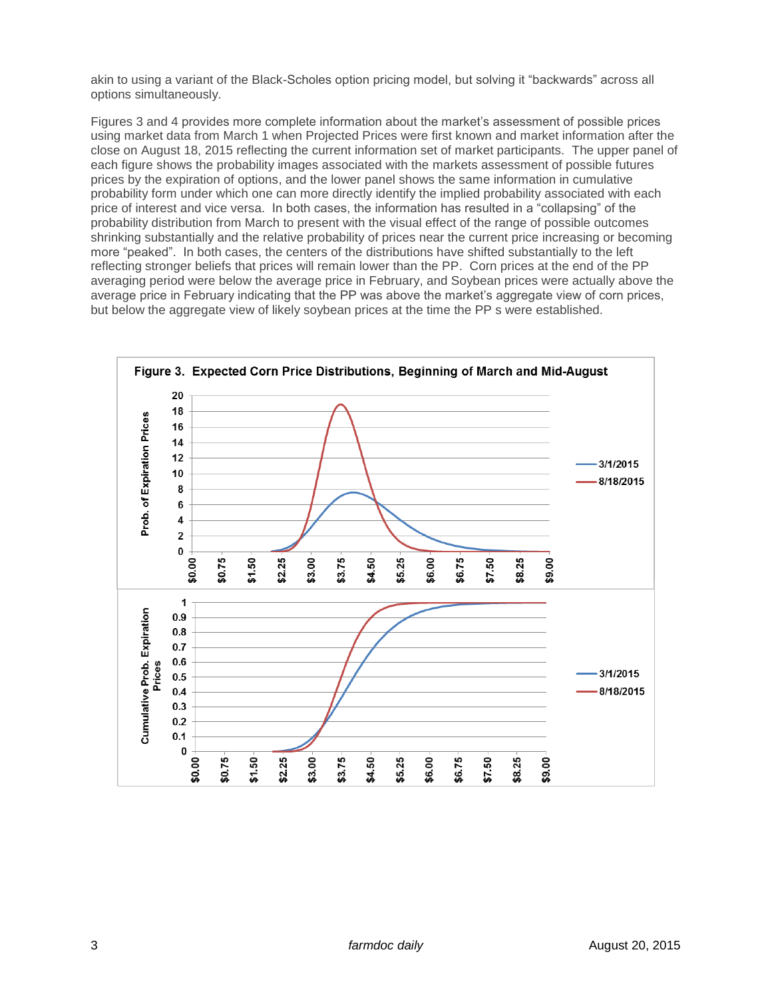akin to using a variant of the Black-Scholes option pricing model, but solving it "backwards" across all options simultaneously.

Figures 3 and 4 provides more complete information about the market's assessment of possible prices using market data from March 1 when Projected Prices were first known and market information after the close on August 18, 2015 reflecting the current information set of market participants. The upper panel of each figure shows the probability images associated with the markets assessment of possible futures prices by the expiration of options, and the lower panel shows the same information in cumulative probability form under which one can more directly identify the implied probability associated with each price of interest and vice versa. In both cases, the information has resulted in a "collapsing" of the probability distribution from March to present with the visual effect of the range of possible outcomes shrinking substantially and the relative probability of prices near the current price increasing or becoming more "peaked". In both cases, the centers of the distributions have shifted substantially to the left reflecting stronger beliefs that prices will remain lower than the PP. Corn prices at the end of the PP averaging period were below the average price in February, and Soybean prices were actually above the average price in February indicating that the PP was above the market's aggregate view of corn prices, but below the aggregate view of likely soybean prices at the time the PP s were established.

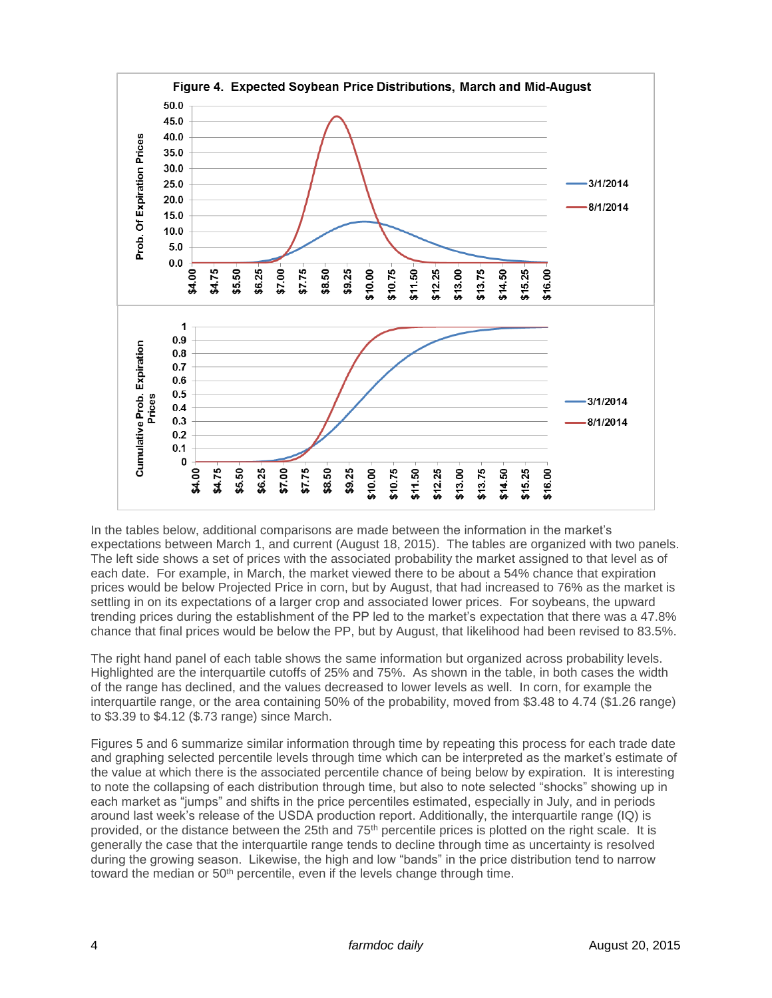

In the tables below, additional comparisons are made between the information in the market's expectations between March 1, and current (August 18, 2015). The tables are organized with two panels. The left side shows a set of prices with the associated probability the market assigned to that level as of each date. For example, in March, the market viewed there to be about a 54% chance that expiration prices would be below Projected Price in corn, but by August, that had increased to 76% as the market is settling in on its expectations of a larger crop and associated lower prices. For soybeans, the upward trending prices during the establishment of the PP led to the market's expectation that there was a 47.8% chance that final prices would be below the PP, but by August, that likelihood had been revised to 83.5%.

The right hand panel of each table shows the same information but organized across probability levels. Highlighted are the interquartile cutoffs of 25% and 75%. As shown in the table, in both cases the width of the range has declined, and the values decreased to lower levels as well. In corn, for example the interquartile range, or the area containing 50% of the probability, moved from \$3.48 to 4.74 (\$1.26 range) to \$3.39 to \$4.12 (\$.73 range) since March.

Figures 5 and 6 summarize similar information through time by repeating this process for each trade date and graphing selected percentile levels through time which can be interpreted as the market's estimate of the value at which there is the associated percentile chance of being below by expiration. It is interesting to note the collapsing of each distribution through time, but also to note selected "shocks" showing up in each market as "jumps" and shifts in the price percentiles estimated, especially in July, and in periods around last week's release of the USDA production report. Additionally, the interquartile range (IQ) is provided, or the distance between the 25th and 75<sup>th</sup> percentile prices is plotted on the right scale. It is generally the case that the interquartile range tends to decline through time as uncertainty is resolved during the growing season. Likewise, the high and low "bands" in the price distribution tend to narrow toward the median or 50<sup>th</sup> percentile, even if the levels change through time.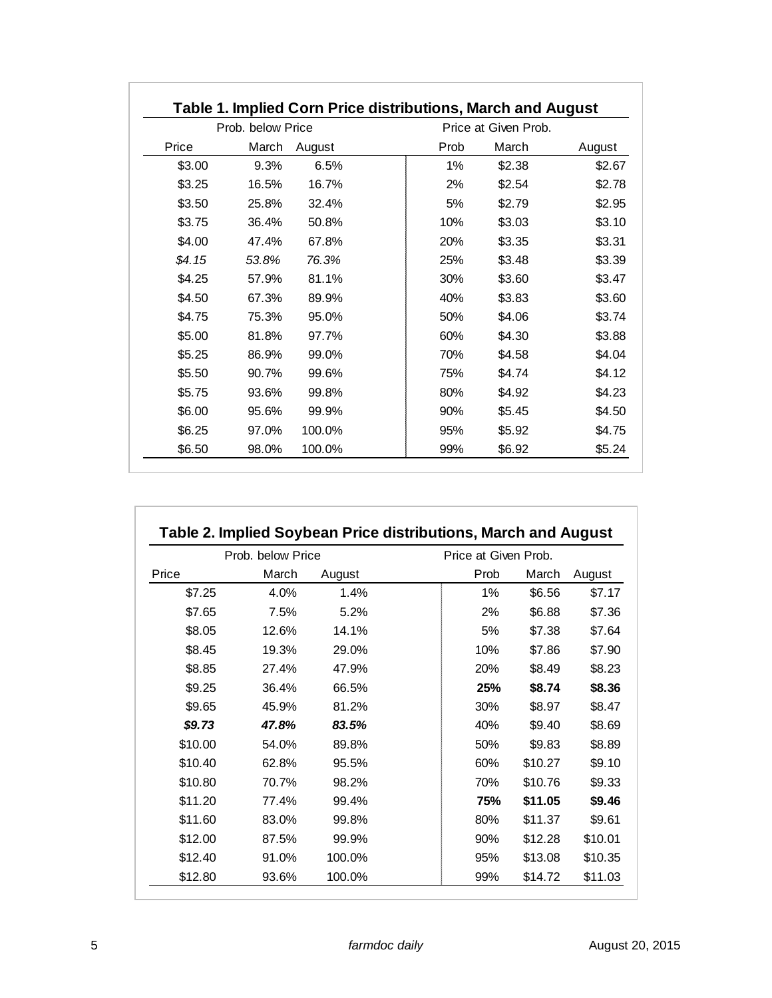| Prob. below Price |       |        | Price at Given Prob. |        |        |
|-------------------|-------|--------|----------------------|--------|--------|
| Price             | March | August | Prob                 | March  | August |
| \$3.00            | 9.3%  | 6.5%   | 1%                   | \$2.38 | \$2.67 |
| \$3.25            | 16.5% | 16.7%  | 2%                   | \$2.54 | \$2.78 |
| \$3.50            | 25.8% | 32.4%  | 5%                   | \$2.79 | \$2.95 |
| \$3.75            | 36.4% | 50.8%  | 10%                  | \$3.03 | \$3.10 |
| \$4.00            | 47.4% | 67.8%  | 20%                  | \$3.35 | \$3.31 |
| \$4.15            | 53.8% | 76.3%  | 25%                  | \$3.48 | \$3.39 |
| \$4.25            | 57.9% | 81.1%  | 30%                  | \$3.60 | \$3.47 |
| \$4.50            | 67.3% | 89.9%  | 40%                  | \$3.83 | \$3.60 |
| \$4.75            | 75.3% | 95.0%  | 50%                  | \$4.06 | \$3.74 |
| \$5.00            | 81.8% | 97.7%  | 60%                  | \$4.30 | \$3.88 |
| \$5.25            | 86.9% | 99.0%  | 70%                  | \$4.58 | \$4.04 |
| \$5.50            | 90.7% | 99.6%  | 75%                  | \$4.74 | \$4.12 |
| \$5.75            | 93.6% | 99.8%  | 80%                  | \$4.92 | \$4.23 |
| \$6.00            | 95.6% | 99.9%  | 90%                  | \$5.45 | \$4.50 |
| \$6.25            | 97.0% | 100.0% | 95%                  | \$5.92 | \$4.75 |
| \$6.50            | 98.0% | 100.0% | 99%                  | \$6.92 | \$5.24 |

| Prob. below Price |       |        | Price at Given Prob. |         |         |  |
|-------------------|-------|--------|----------------------|---------|---------|--|
| Price             | March | August | Prob                 | March   | August  |  |
| \$7.25            | 4.0%  | 1.4%   | $1\%$                | \$6.56  | \$7.17  |  |
| \$7.65            | 7.5%  | 5.2%   | 2%                   | \$6.88  | \$7.36  |  |
| \$8.05            | 12.6% | 14.1%  | 5%                   | \$7.38  | \$7.64  |  |
| \$8.45            | 19.3% | 29.0%  | 10%                  | \$7.86  | \$7.90  |  |
| \$8.85            | 27.4% | 47.9%  | 20%                  | \$8.49  | \$8.23  |  |
| \$9.25            | 36.4% | 66.5%  | 25%                  | \$8.74  | \$8.36  |  |
| \$9.65            | 45.9% | 81.2%  | 30%                  | \$8.97  | \$8.47  |  |
| \$9.73            | 47.8% | 83.5%  | 40%                  | \$9.40  | \$8.69  |  |
| \$10.00           | 54.0% | 89.8%  | 50%                  | \$9.83  | \$8.89  |  |
| \$10.40           | 62.8% | 95.5%  | 60%                  | \$10.27 | \$9.10  |  |
| \$10.80           | 70.7% | 98.2%  | 70%                  | \$10.76 | \$9.33  |  |
| \$11.20           | 77.4% | 99.4%  | 75%                  | \$11.05 | \$9.46  |  |
| \$11.60           | 83.0% | 99.8%  | 80%                  | \$11.37 | \$9.61  |  |
| \$12.00           | 87.5% | 99.9%  | 90%                  | \$12.28 | \$10.01 |  |
| \$12.40           | 91.0% | 100.0% | 95%                  | \$13.08 | \$10.35 |  |
| \$12.80           | 93.6% | 100.0% | 99%                  | \$14.72 | \$11.03 |  |